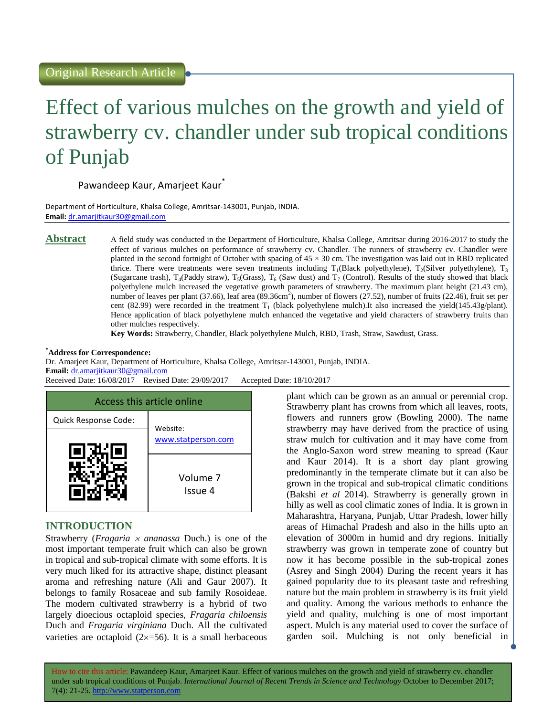# Effect of various mulches on the growth and yield of strawberry cv. chandler under sub tropical conditions of Punjab

# Pawandeep Kaur, Amarjeet Kaur<sup>\*</sup>

Department of Horticulture, Khalsa College, Amritsar-143001, Punjab, INDIA. **Email:** [dr.amarjitkaur30@gmail.com](dr.amarjitkaur30@gmail.com%20)

**Abstract** A field study was conducted in the Department of Horticulture, Khalsa College, Amritsar during 2016-2017 to study the effect of various mulches on performance of strawberry cv. Chandler. The runners of strawberry cv. Chandler were planted in the second fortnight of October with spacing of  $45 \times 30$  cm. The investigation was laid out in RBD replicated thrice. There were treatments were seven treatments including  $T_1(B$ lack polyethylene),  $T_2(Silver$  polyethylene),  $T_3$ (Sugarcane trash),  $T_4$ (Paddy straw),  $T_5$ (Grass),  $T_6$  (Saw dust) and  $T_7$  (Control). Results of the study showed that black polyethylene mulch increased the vegetative growth parameters of strawberry. The maximum plant height (21.43 cm), number of leaves per plant (37.66), leaf area ( $\overline{89.36cm}^2$ ), number of flowers (27.52), number of fruits (22.46), fruit set per cent (82.99) were recorded in the treatment  $T_1$  (black polyethylene mulch).It also increased the yield(145.43g/plant). Hence application of black polyethylene mulch enhanced the vegetative and yield characters of strawberry fruits than other mulches respectively.

**Key Words:** Strawberry, Chandler, Black polyethylene Mulch, RBD, Trash, Straw, Sawdust, Grass.

#### **\*Address for Correspondence:**

Dr. Amarjeet Kaur, Department of Horticulture, Khalsa College, Amritsar-143001, Punjab, INDIA. **Email:** <dr.amarjitkaur30@gmail.com> Received Date: 16/08/2017 Revised Date: 29/09/2017 Accepted Date: 18/10/2017



### **INTRODUCTION**

Strawberry (*Fragaria ananassa* Duch.) is one of the most important temperate fruit which can also be grown in tropical and sub-tropical climate with some efforts. It is very much liked for its attractive shape, distinct pleasant aroma and refreshing nature (Ali and Gaur 2007). It belongs to family Rosaceae and sub family Rosoideae. The modern cultivated strawberry is a hybrid of two largely dioecious octaploid species, *Fragaria chiloensis* Duch and *Fragaria virginiana* Duch. All the cultivated varieties are octaploid  $(2\times 56)$ . It is a small herbaceous

plant which can be grown as an annual or perennial crop. Strawberry plant has crowns from which all leaves, roots, flowers and runners grow (Bowling 2000). The name strawberry may have derived from the practice of using straw mulch for cultivation and it may have come from the Anglo-Saxon word strew meaning to spread (Kaur and Kaur 2014). It is a short day plant growing predominantly in the temperate climate but it can also be grown in the tropical and sub-tropical climatic conditions (Bakshi *et al* 2014). Strawberry is generally grown in hilly as well as cool climatic zones of India. It is grown in Maharashtra, Haryana, Punjab, Uttar Pradesh, lower hilly areas of Himachal Pradesh and also in the hills upto an elevation of 3000m in humid and dry regions. Initially strawberry was grown in temperate zone of country but now it has become possible in the sub-tropical zones (Asrey and Singh 2004) During the recent years it has gained popularity due to its pleasant taste and refreshing nature but the main problem in strawberry is its fruit yield and quality. Among the various methods to enhance the yield and quality, mulching is one of most important aspect. Mulch is any material used to cover the surface of garden soil. Mulching is not only beneficial in

How to cite this article: Pawandeep Kaur, Amarjeet Kaur*.* Effect of various mulches on the growth and yield of strawberry cv. chandler under sub tropical conditions of Punjab. *International Journal of Recent Trends in Science and Technology* October to December 2017; 7(4): 21-25. http://www.statperson.com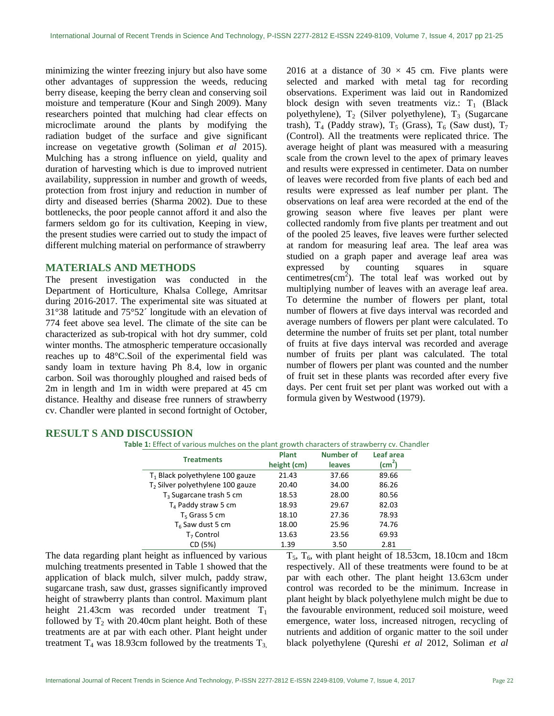minimizing the winter freezing injury but also have some other advantages of suppression the weeds, reducing berry disease, keeping the berry clean and conserving soil moisture and temperature (Kour and Singh 2009). Many researchers pointed that mulching had clear effects on microclimate around the plants by modifying the radiation budget of the surface and give significant increase on vegetative growth (Soliman *et al* 2015). Mulching has a strong influence on yield, quality and duration of harvesting which is due to improved nutrient availability, suppression in number and growth of weeds, protection from frost injury and reduction in number of dirty and diseased berries (Sharma 2002). Due to these bottlenecks, the poor people cannot afford it and also the farmers seldom go for its cultivation, Keeping in view, the present studies were carried out to study the impact of different mulching material on performance of strawberry

### **MATERIALS AND METHODS**

The present investigation was conducted in the Department of Horticulture, Khalsa College, Amritsar during 2016-2017. The experimental site was situated at 31°38´ latitude and 75°52´ longitude with an elevation of 774 feet above sea level. The climate of the site can be characterized as sub-tropical with hot dry summer, cold winter months. The atmospheric temperature occasionally reaches up to 48°C.Soil of the experimental field was sandy loam in texture having Ph 8.4, low in organic carbon. Soil was thoroughly ploughed and raised beds of 2m in length and 1m in width were prepared at 45 cm distance. Healthy and disease free runners of strawberry cv. Chandler were planted in second fortnight of October, 2016 at a distance of  $30 \times 45$  cm. Five plants were selected and marked with metal tag for recording observations. Experiment was laid out in Randomized block design with seven treatments viz.:  $T_1$  (Black polyethylene),  $T_2$  (Silver polyethylene),  $T_3$  (Sugarcane trash),  $T_4$  (Paddy straw),  $T_5$  (Grass),  $T_6$  (Saw dust),  $T_7$ (Control). All the treatments were replicated thrice. The average height of plant was measured with a measuring scale from the crown level to the apex of primary leaves and results were expressed in centimeter. Data on number of leaves were recorded from five plants of each bed and results were expressed as leaf number per plant. The observations on leaf area were recorded at the end of the growing season where five leaves per plant were collected randomly from five plants per treatment and out of the pooled 25 leaves, five leaves were further selected at random for measuring leaf area. The leaf area was studied on a graph paper and average leaf area was expressed by counting squares in square centimetres( $cm<sup>2</sup>$ ). The total leaf was worked out by multiplying number of leaves with an average leaf area. To determine the number of flowers per plant, total number of flowers at five days interval was recorded and average numbers of flowers per plant were calculated. To determine the number of fruits set per plant, total number of fruits at five days interval was recorded and average number of fruits per plant was calculated. The total number of flowers per plant was counted and the number of fruit set in these plants was recorded after every five days. Per cent fruit set per plant was worked out with a formula given by Westwood (1979).

### **RESULT S AND DISCUSSION**

| <b>Treatments</b>                            | <b>Plant</b> | <b>Number of</b> | Leaf area          |
|----------------------------------------------|--------------|------------------|--------------------|
|                                              | height (cm)  | leaves           | (cm <sup>2</sup> ) |
| $T_1$ Black polyethylene 100 gauze           | 21.43        | 37.66            | 89.66              |
| T <sub>2</sub> Silver polyethylene 100 gauze | 20.40        | 34.00            | 86.26              |
| $T_3$ Sugarcane trash 5 cm                   | 18.53        | 28.00            | 80.56              |
| $T_A$ Paddy straw 5 cm                       | 18.93        | 29.67            | 82.03              |
| $T5$ Grass 5 cm                              | 18.10        | 27.36            | 78.93              |
| $T_6$ Saw dust 5 cm                          | 18.00        | 25.96            | 74.76              |
| T <sub>7</sub> Control                       | 13.63        | 23.56            | 69.93              |
| CD (5%)                                      | 1.39         | 3.50             | 2.81               |

The data regarding plant height as influenced by various mulching treatments presented in Table 1 showed that the application of black mulch, silver mulch, paddy straw, sugarcane trash, saw dust, grasses significantly improved height of strawberry plants than control. Maximum plant height 21.43cm was recorded under treatment  $T_1$ followed by  $T_2$  with 20.40cm plant height. Both of these treatments are at par with each other. Plant height under treatment  $T_4$  was 18.93cm followed by the treatments  $T_3$ ,

 $T_5$ ,  $T_6$ , with plant height of 18.53cm, 18.10cm and 18cm respectively. All of these treatments were found to be at par with each other. The plant height 13.63cm under control was recorded to be the minimum. Increase in plant height by black polyethylene mulch might be due to the favourable environment, reduced soil moisture, weed emergence, water loss, increased nitrogen, recycling of nutrients and addition of organic matter to the soil under black polyethylene (Qureshi *et al* 2012, Soliman *et al*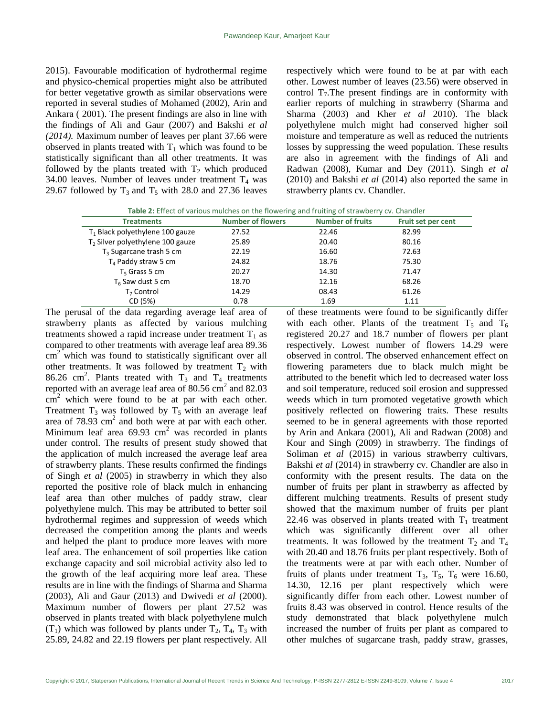2015). Favourable modification of hydrothermal regime and physico-chemical properties might also be attributed for better vegetative growth as similar observations were reported in several studies of Mohamed (2002), Arin and Ankara ( 2001). The present findings are also in line with the findings of Ali and Gaur (2007) and Bakshi *et al (2014).* Maximum number of leaves per plant 37.66 were observed in plants treated with  $T_1$  which was found to be statistically significant than all other treatments. It was followed by the plants treated with  $T_2$  which produced 34.00 leaves. Number of leaves under treatment  $T_4$  was 29.67 followed by  $T_3$  and  $T_5$  with 28.0 and 27.36 leaves respectively which were found to be at par with each other. Lowest number of leaves (23.56) were observed in control  $T_7$ . The present findings are in conformity with earlier reports of mulching in strawberry (Sharma and Sharma (2003) and Kher *et al* 2010). The black polyethylene mulch might had conserved higher soil moisture and temperature as well as reduced the nutrients losses by suppressing the weed population. These results are also in agreement with the findings of Ali and Radwan (2008), Kumar and Dey (2011). Singh *et al* (2010) and Bakshi *et al* (2014) also reported the same in strawberry plants cv. Chandler.

| <b>Treatments</b>                            | <b>Number of flowers</b> | <b>Number of fruits</b> | Fruit set per cent |
|----------------------------------------------|--------------------------|-------------------------|--------------------|
| $T_1$ Black polyethylene 100 gauze           | 27.52                    | 22.46                   | 82.99              |
| T <sub>2</sub> Silver polyethylene 100 gauze | 25.89                    | 20.40                   | 80.16              |
| $T_3$ Sugarcane trash 5 cm                   | 22.19                    | 16.60                   | 72.63              |
| $T_A$ Paddy straw 5 cm                       | 24.82                    | 18.76                   | 75.30              |
| $T5$ Grass 5 cm                              | 20.27                    | 14.30                   | 71.47              |
| $T_6$ Saw dust 5 cm                          | 18.70                    | 12.16                   | 68.26              |
| $T7$ Control                                 | 14.29                    | 08.43                   | 61.26              |
| CD (5%)                                      | 0.78                     | 1.69                    | 1.11               |

The perusal of the data regarding average leaf area of strawberry plants as affected by various mulching treatments showed a rapid increase under treatment  $T_1$  as compared to other treatments with average leaf area 89.36 cm<sup>2</sup> which was found to statistically significant over all other treatments. It was followed by treatment  $T_2$  with 86.26 cm<sup>2</sup>. Plants treated with  $T_3$  and  $T_4$  treatments reported with an average leaf area of 80.56  $\text{cm}^2$  and 82.03  $\text{cm}^2$  which were found to be at par with each other. Treatment  $T_3$  was followed by  $T_5$  with an average leaf area of  $78.93 \text{ cm}^2$  and both were at par with each other. Minimum leaf area  $69.93 \text{ cm}^2$  was recorded in plants under control. The results of present study showed that the application of mulch increased the average leaf area of strawberry plants. These results confirmed the findings of Singh *et al* (2005) in strawberry in which they also reported the positive role of black mulch in enhancing leaf area than other mulches of paddy straw, clear polyethylene mulch. This may be attributed to better soil hydrothermal regimes and suppression of weeds which decreased the competition among the plants and weeds and helped the plant to produce more leaves with more leaf area. The enhancement of soil properties like cation exchange capacity and soil microbial activity also led to the growth of the leaf acquiring more leaf area. These results are in line with the findings of Sharma and Sharma (2003), Ali and Gaur (2013) and Dwivedi *et al* (2000). Maximum number of flowers per plant 27.52 was observed in plants treated with black polyethylene mulch  $(T_1)$  which was followed by plants under  $T_2$ ,  $T_4$ ,  $T_3$  with 25.89, 24.82 and 22.19 flowers per plant respectively. All

of these treatments were found to be significantly differ with each other. Plants of the treatment  $T_5$  and  $T_6$ registered 20.27 and 18.7 number of flowers per plant respectively. Lowest number of flowers 14.29 were observed in control. The observed enhancement effect on flowering parameters due to black mulch might be attributed to the benefit which led to decreased water loss and soil temperature, reduced soil erosion and suppressed weeds which in turn promoted vegetative growth which positively reflected on flowering traits. These results seemed to be in general agreements with those reported by Arin and Ankara (2001), Ali and Radwan (2008) and Kour and Singh (2009) in strawberry. The findings of Soliman *et al* (2015) in various strawberry cultivars, Bakshi *et al* (2014) in strawberry cv. Chandler are also in conformity with the present results. The data on the number of fruits per plant in strawberry as affected by different mulching treatments. Results of present study showed that the maximum number of fruits per plant 22.46 was observed in plants treated with  $T_1$  treatment which was significantly different over all other treatments. It was followed by the treatment  $T_2$  and  $T_4$ with 20.40 and 18.76 fruits per plant respectively. Both of the treatments were at par with each other. Number of fruits of plants under treatment  $T_3$ ,  $T_5$ ,  $T_6$  were 16.60, 14.30, 12.16 per plant respectively which were significantly differ from each other. Lowest number of fruits 8.43 was observed in control. Hence results of the study demonstrated that black polyethylene mulch increased the number of fruits per plant as compared to other mulches of sugarcane trash, paddy straw, grasses,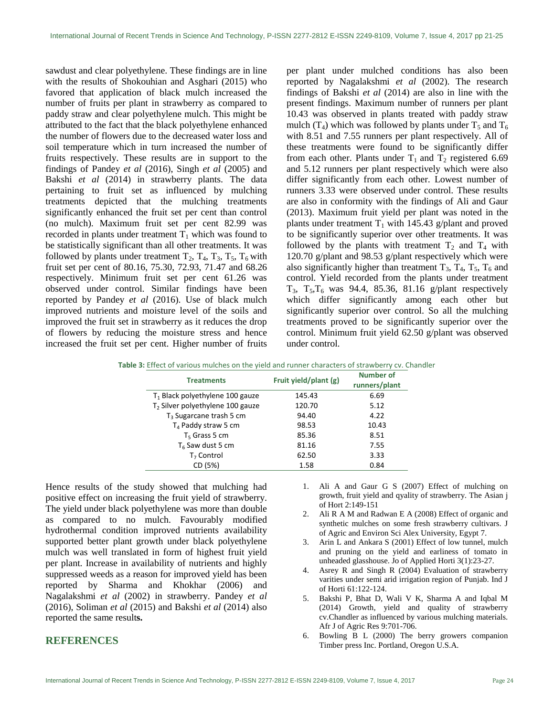sawdust and clear polyethylene. These findings are in line with the results of Shokouhian and Asghari (2015) who favored that application of black mulch increased the number of fruits per plant in strawberry as compared to paddy straw and clear polyethylene mulch. This might be attributed to the fact that the black polyethylene enhanced the number of flowers due to the decreased water loss and soil temperature which in turn increased the number of fruits respectively. These results are in support to the findings of Pandey *et al* (2016), Singh *et al* (2005) and Bakshi *et al* (2014) in strawberry plants. The data pertaining to fruit set as influenced by mulching treatments depicted that the mulching treatments significantly enhanced the fruit set per cent than control (no mulch). Maximum fruit set per cent 82.99 was recorded in plants under treatment  $T_1$  which was found to be statistically significant than all other treatments. It was followed by plants under treatment  $T_2$ ,  $T_4$ ,  $T_3$ ,  $T_5$ ,  $T_6$  with fruit set per cent of 80.16, 75.30, 72.93, 71.47 and 68.26 respectively. Minimum fruit set per cent 61.26 was observed under control. Similar findings have been reported by Pandey *et al* (2016). Use of black mulch improved nutrients and moisture level of the soils and improved the fruit set in strawberry as it reduces the drop of flowers by reducing the moisture stress and hence increased the fruit set per cent. Higher number of fruits

per plant under mulched conditions has also been reported by Nagalakshmi *et al* (2002). The research findings of Bakshi *et al* (2014) are also in line with the present findings. Maximum number of runners per plant 10.43 was observed in plants treated with paddy straw mulch (T<sub>4</sub>) which was followed by plants under T<sub>5</sub> and T<sub>6</sub> with 8.51 and 7.55 runners per plant respectively. All of these treatments were found to be significantly differ from each other. Plants under  $T_1$  and  $T_2$  registered 6.69 and 5.12 runners per plant respectively which were also differ significantly from each other. Lowest number of runners 3.33 were observed under control. These results are also in conformity with the findings of Ali and Gaur (2013). Maximum fruit yield per plant was noted in the plants under treatment  $T_1$  with 145.43 g/plant and proved to be significantly superior over other treatments. It was followed by the plants with treatment  $T_2$  and  $T_4$  with 120.70 g/plant and 98.53 g/plant respectively which were also significantly higher than treatment  $T_3$ ,  $T_4$ ,  $T_5$ ,  $T_6$  and control. Yield recorded from the plants under treatment  $T_3$ ,  $T_5$ ,  $T_6$  was 94.4, 85.36, 81.16 g/plant respectively which differ significantly among each other but significantly superior over control. So all the mulching treatments proved to be significantly superior over the control. Minimum fruit yield 62.50 g/plant was observed under control.

| <b>Treatments</b>                            | Fruit yield/plant (g) | <b>Number of</b><br>runners/plant |
|----------------------------------------------|-----------------------|-----------------------------------|
| $T_1$ Black polyethylene 100 gauze           | 145.43                | 6.69                              |
| T <sub>2</sub> Silver polyethylene 100 gauze | 120.70                | 5.12                              |
| $T3$ Sugarcane trash 5 cm                    | 94.40                 | 4.22                              |
| T <sub>4</sub> Paddy straw 5 cm              | 98.53                 | 10.43                             |
| $T5$ Grass 5 cm                              | 85.36                 | 8.51                              |
| $T6$ Saw dust 5 cm                           | 81.16                 | 7.55                              |
| $T7$ Control                                 | 62.50                 | 3.33                              |
| CD (5%)                                      | 1.58                  | 0.84                              |

**Table 3:** Effect of various mulches on the yield and runner characters of strawberry cv. Chandler

Hence results of the study showed that mulching had positive effect on increasing the fruit yield of strawberry. The yield under black polyethylene was more than double as compared to no mulch. Favourably modified hydrothermal condition improved nutrients availability supported better plant growth under black polyethylene mulch was well translated in form of highest fruit yield per plant. Increase in availability of nutrients and highly suppressed weeds as a reason for improved yield has been reported by Sharma and Khokhar (2006) and Nagalakshmi *et al* (2002) in strawberry. Pandey *et al* (2016), Soliman *et al* (2015) and Bakshi *et al* (2014) also reported the same result**s.**

# **REFERENCES**

- 1. Ali A and Gaur G S (2007) Effect of mulching on growth, fruit yield and qyality of strawberry. The Asian j of Hort 2:149-151
- 2. Ali R A M and Radwan E A (2008) Effect of organic and synthetic mulches on some fresh strawberry cultivars. J of Agric and Environ Sci Alex University, Egypt 7.
- 3. Arin L and Ankara S (2001) Effect of low tunnel, mulch and pruning on the yield and earliness of tomato in unheaded glasshouse. Jo of Applied Horti 3(1):23-27.
- 4. Asrey R and Singh R (2004) Evaluation of strawberry varities under semi arid irrigation region of Punjab. Ind J of Horti 61:122-124.
- 5. Bakshi P, Bhat D, Wali V K, Sharma A and Iqbal M (2014) Growth, yield and quality of strawberry cv.Chandler as influenced by various mulching materials. Afr J of Agric Res 9:701-706.
- 6. Bowling B L (2000) The berry growers companion Timber press Inc. Portland, Oregon U.S.A.